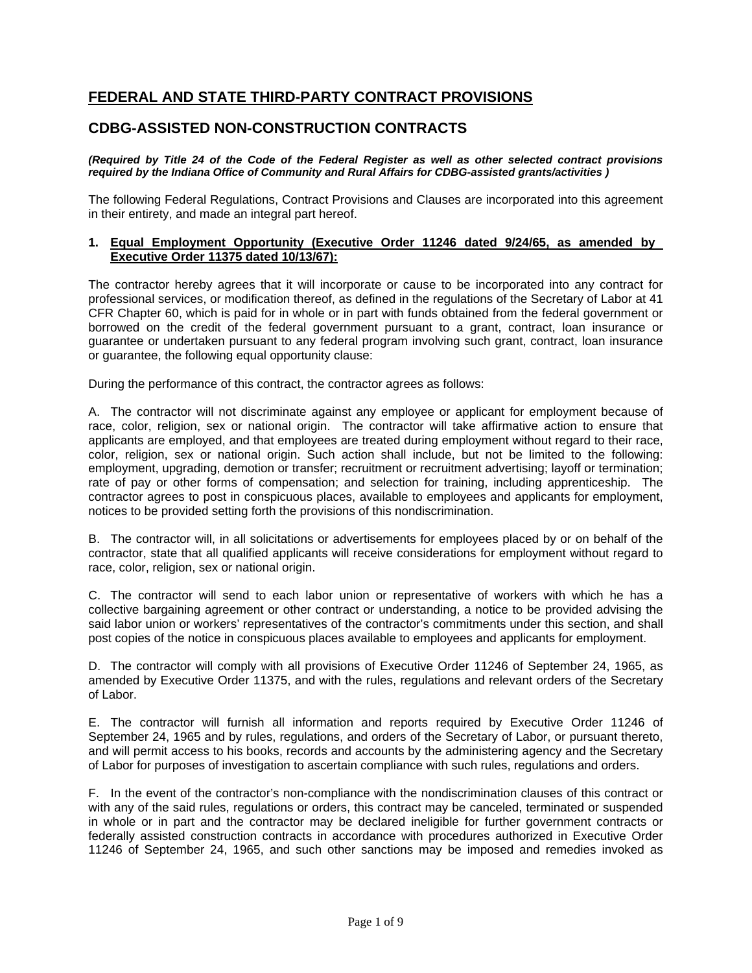# **FEDERAL AND STATE THIRD-PARTY CONTRACT PROVISIONS**

# **CDBG-ASSISTED NON-CONSTRUCTION CONTRACTS**

#### *(Required by Title 24 of the Code of the Federal Register as well as other selected contract provisions required by the Indiana Office of Community and Rural Affairs for CDBG-assisted grants/activities )*

The following Federal Regulations, Contract Provisions and Clauses are incorporated into this agreement in their entirety, and made an integral part hereof.

#### **1. Equal Employment Opportunity (Executive Order 11246 dated 9/24/65, as amended by Executive Order 11375 dated 10/13/67):**

The contractor hereby agrees that it will incorporate or cause to be incorporated into any contract for professional services, or modification thereof, as defined in the regulations of the Secretary of Labor at 41 CFR Chapter 60, which is paid for in whole or in part with funds obtained from the federal government or borrowed on the credit of the federal government pursuant to a grant, contract, loan insurance or guarantee or undertaken pursuant to any federal program involving such grant, contract, loan insurance or guarantee, the following equal opportunity clause:

During the performance of this contract, the contractor agrees as follows:

A. The contractor will not discriminate against any employee or applicant for employment because of race, color, religion, sex or national origin. The contractor will take affirmative action to ensure that applicants are employed, and that employees are treated during employment without regard to their race, color, religion, sex or national origin. Such action shall include, but not be limited to the following: employment, upgrading, demotion or transfer; recruitment or recruitment advertising; layoff or termination; rate of pay or other forms of compensation; and selection for training, including apprenticeship. The contractor agrees to post in conspicuous places, available to employees and applicants for employment, notices to be provided setting forth the provisions of this nondiscrimination.

B. The contractor will, in all solicitations or advertisements for employees placed by or on behalf of the contractor, state that all qualified applicants will receive considerations for employment without regard to race, color, religion, sex or national origin.

C. The contractor will send to each labor union or representative of workers with which he has a collective bargaining agreement or other contract or understanding, a notice to be provided advising the said labor union or workers' representatives of the contractor's commitments under this section, and shall post copies of the notice in conspicuous places available to employees and applicants for employment.

D. The contractor will comply with all provisions of Executive Order 11246 of September 24, 1965, as amended by Executive Order 11375, and with the rules, regulations and relevant orders of the Secretary of Labor.

E. The contractor will furnish all information and reports required by Executive Order 11246 of September 24, 1965 and by rules, regulations, and orders of the Secretary of Labor, or pursuant thereto, and will permit access to his books, records and accounts by the administering agency and the Secretary of Labor for purposes of investigation to ascertain compliance with such rules, regulations and orders.

F. In the event of the contractor's non-compliance with the nondiscrimination clauses of this contract or with any of the said rules, regulations or orders, this contract may be canceled, terminated or suspended in whole or in part and the contractor may be declared ineligible for further government contracts or federally assisted construction contracts in accordance with procedures authorized in Executive Order 11246 of September 24, 1965, and such other sanctions may be imposed and remedies invoked as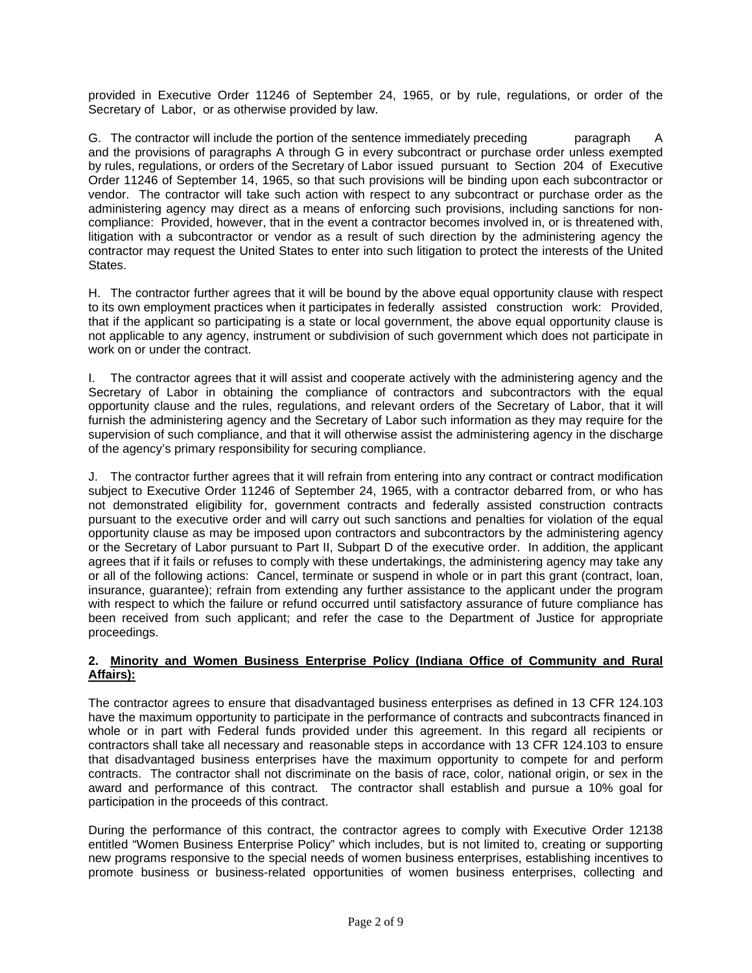provided in Executive Order 11246 of September 24, 1965, or by rule, regulations, or order of the Secretary of Labor, or as otherwise provided by law.

G. The contractor will include the portion of the sentence immediately preceding paragraph A and the provisions of paragraphs A through G in every subcontract or purchase order unless exempted by rules, regulations, or orders of the Secretary of Labor issued pursuant to Section 204 of Executive Order 11246 of September 14, 1965, so that such provisions will be binding upon each subcontractor or vendor. The contractor will take such action with respect to any subcontract or purchase order as the administering agency may direct as a means of enforcing such provisions, including sanctions for noncompliance: Provided, however, that in the event a contractor becomes involved in, or is threatened with, litigation with a subcontractor or vendor as a result of such direction by the administering agency the contractor may request the United States to enter into such litigation to protect the interests of the United States.

H. The contractor further agrees that it will be bound by the above equal opportunity clause with respect to its own employment practices when it participates in federally assisted construction work: Provided, that if the applicant so participating is a state or local government, the above equal opportunity clause is not applicable to any agency, instrument or subdivision of such government which does not participate in work on or under the contract.

I. The contractor agrees that it will assist and cooperate actively with the administering agency and the Secretary of Labor in obtaining the compliance of contractors and subcontractors with the equal opportunity clause and the rules, regulations, and relevant orders of the Secretary of Labor, that it will furnish the administering agency and the Secretary of Labor such information as they may require for the supervision of such compliance, and that it will otherwise assist the administering agency in the discharge of the agency's primary responsibility for securing compliance.

J. The contractor further agrees that it will refrain from entering into any contract or contract modification subject to Executive Order 11246 of September 24, 1965, with a contractor debarred from, or who has not demonstrated eligibility for, government contracts and federally assisted construction contracts pursuant to the executive order and will carry out such sanctions and penalties for violation of the equal opportunity clause as may be imposed upon contractors and subcontractors by the administering agency or the Secretary of Labor pursuant to Part II, Subpart D of the executive order. In addition, the applicant agrees that if it fails or refuses to comply with these undertakings, the administering agency may take any or all of the following actions: Cancel, terminate or suspend in whole or in part this grant (contract, loan, insurance, guarantee); refrain from extending any further assistance to the applicant under the program with respect to which the failure or refund occurred until satisfactory assurance of future compliance has been received from such applicant; and refer the case to the Department of Justice for appropriate proceedings.

## **2. Minority and Women Business Enterprise Policy (Indiana Office of Community and Rural Affairs):**

The contractor agrees to ensure that disadvantaged business enterprises as defined in 13 CFR 124.103 have the maximum opportunity to participate in the performance of contracts and subcontracts financed in whole or in part with Federal funds provided under this agreement. In this regard all recipients or contractors shall take all necessary and reasonable steps in accordance with 13 CFR 124.103 to ensure that disadvantaged business enterprises have the maximum opportunity to compete for and perform contracts. The contractor shall not discriminate on the basis of race, color, national origin, or sex in the award and performance of this contract. The contractor shall establish and pursue a 10% goal for participation in the proceeds of this contract.

During the performance of this contract, the contractor agrees to comply with Executive Order 12138 entitled "Women Business Enterprise Policy" which includes, but is not limited to, creating or supporting new programs responsive to the special needs of women business enterprises, establishing incentives to promote business or business-related opportunities of women business enterprises, collecting and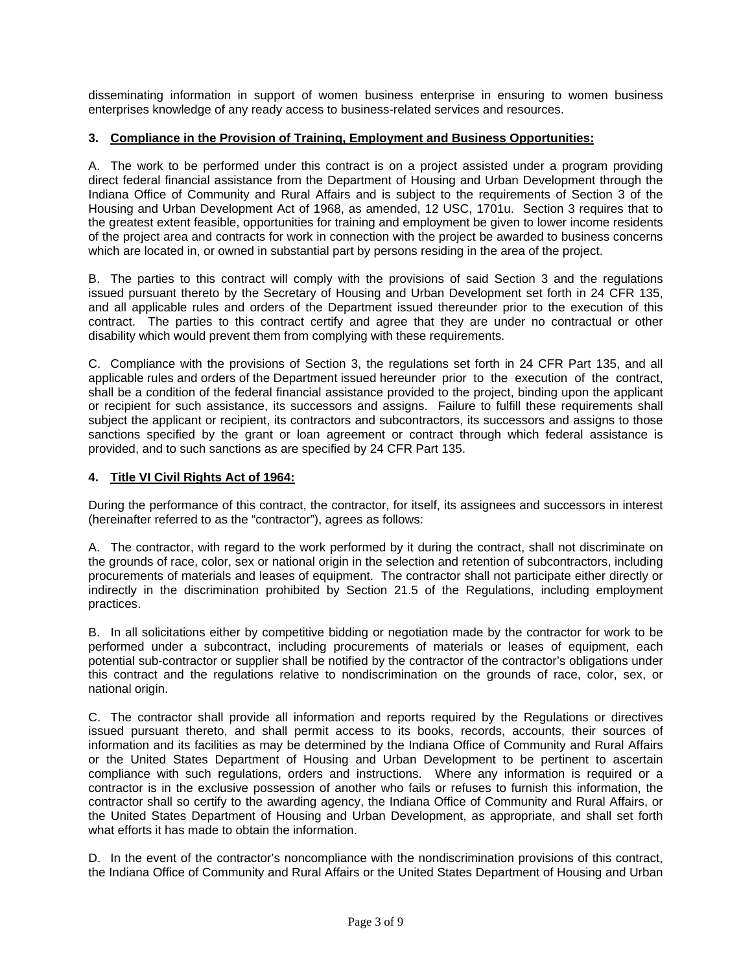disseminating information in support of women business enterprise in ensuring to women business enterprises knowledge of any ready access to business-related services and resources.

# **3. Compliance in the Provision of Training, Employment and Business Opportunities:**

A. The work to be performed under this contract is on a project assisted under a program providing direct federal financial assistance from the Department of Housing and Urban Development through the Indiana Office of Community and Rural Affairs and is subject to the requirements of Section 3 of the Housing and Urban Development Act of 1968, as amended, 12 USC, 1701u. Section 3 requires that to the greatest extent feasible, opportunities for training and employment be given to lower income residents of the project area and contracts for work in connection with the project be awarded to business concerns which are located in, or owned in substantial part by persons residing in the area of the project.

B. The parties to this contract will comply with the provisions of said Section 3 and the regulations issued pursuant thereto by the Secretary of Housing and Urban Development set forth in 24 CFR 135, and all applicable rules and orders of the Department issued thereunder prior to the execution of this contract. The parties to this contract certify and agree that they are under no contractual or other disability which would prevent them from complying with these requirements.

C. Compliance with the provisions of Section 3, the regulations set forth in 24 CFR Part 135, and all applicable rules and orders of the Department issued hereunder prior to the execution of the contract, shall be a condition of the federal financial assistance provided to the project, binding upon the applicant or recipient for such assistance, its successors and assigns. Failure to fulfill these requirements shall subject the applicant or recipient, its contractors and subcontractors, its successors and assigns to those sanctions specified by the grant or loan agreement or contract through which federal assistance is provided, and to such sanctions as are specified by 24 CFR Part 135.

# **4. Title VI Civil Rights Act of 1964:**

During the performance of this contract, the contractor, for itself, its assignees and successors in interest (hereinafter referred to as the "contractor"), agrees as follows:

A. The contractor, with regard to the work performed by it during the contract, shall not discriminate on the grounds of race, color, sex or national origin in the selection and retention of subcontractors, including procurements of materials and leases of equipment. The contractor shall not participate either directly or indirectly in the discrimination prohibited by Section 21.5 of the Regulations, including employment practices.

B. In all solicitations either by competitive bidding or negotiation made by the contractor for work to be performed under a subcontract, including procurements of materials or leases of equipment, each potential sub-contractor or supplier shall be notified by the contractor of the contractor's obligations under this contract and the regulations relative to nondiscrimination on the grounds of race, color, sex, or national origin.

C. The contractor shall provide all information and reports required by the Regulations or directives issued pursuant thereto, and shall permit access to its books, records, accounts, their sources of information and its facilities as may be determined by the Indiana Office of Community and Rural Affairs or the United States Department of Housing and Urban Development to be pertinent to ascertain compliance with such regulations, orders and instructions. Where any information is required or a contractor is in the exclusive possession of another who fails or refuses to furnish this information, the contractor shall so certify to the awarding agency, the Indiana Office of Community and Rural Affairs, or the United States Department of Housing and Urban Development, as appropriate, and shall set forth what efforts it has made to obtain the information.

D. In the event of the contractor's noncompliance with the nondiscrimination provisions of this contract, the Indiana Office of Community and Rural Affairs or the United States Department of Housing and Urban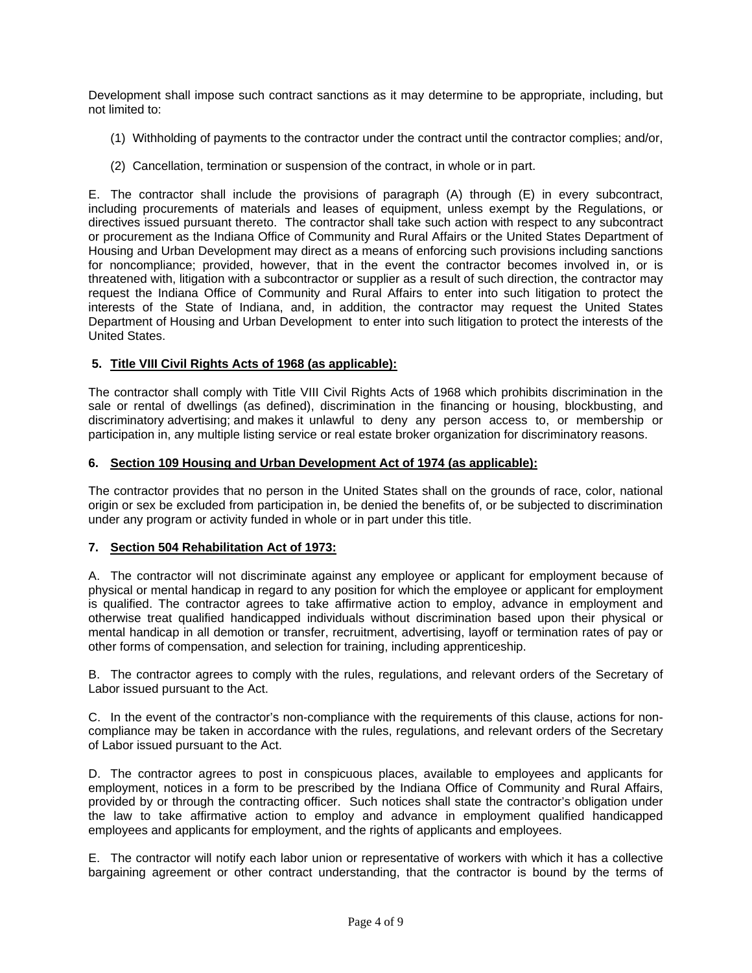Development shall impose such contract sanctions as it may determine to be appropriate, including, but not limited to:

- (1) Withholding of payments to the contractor under the contract until the contractor complies; and/or,
- (2) Cancellation, termination or suspension of the contract, in whole or in part.

E. The contractor shall include the provisions of paragraph (A) through (E) in every subcontract, including procurements of materials and leases of equipment, unless exempt by the Regulations, or directives issued pursuant thereto. The contractor shall take such action with respect to any subcontract or procurement as the Indiana Office of Community and Rural Affairs or the United States Department of Housing and Urban Development may direct as a means of enforcing such provisions including sanctions for noncompliance; provided, however, that in the event the contractor becomes involved in, or is threatened with, litigation with a subcontractor or supplier as a result of such direction, the contractor may request the Indiana Office of Community and Rural Affairs to enter into such litigation to protect the interests of the State of Indiana, and, in addition, the contractor may request the United States Department of Housing and Urban Development to enter into such litigation to protect the interests of the United States.

## **5. Title VIII Civil Rights Acts of 1968 (as applicable):**

The contractor shall comply with Title VIII Civil Rights Acts of 1968 which prohibits discrimination in the sale or rental of dwellings (as defined), discrimination in the financing or housing, blockbusting, and discriminatory advertising; and makes it unlawful to deny any person access to, or membership or participation in, any multiple listing service or real estate broker organization for discriminatory reasons.

### **6. Section 109 Housing and Urban Development Act of 1974 (as applicable):**

The contractor provides that no person in the United States shall on the grounds of race, color, national origin or sex be excluded from participation in, be denied the benefits of, or be subjected to discrimination under any program or activity funded in whole or in part under this title.

### **7. Section 504 Rehabilitation Act of 1973:**

A. The contractor will not discriminate against any employee or applicant for employment because of physical or mental handicap in regard to any position for which the employee or applicant for employment is qualified. The contractor agrees to take affirmative action to employ, advance in employment and otherwise treat qualified handicapped individuals without discrimination based upon their physical or mental handicap in all demotion or transfer, recruitment, advertising, layoff or termination rates of pay or other forms of compensation, and selection for training, including apprenticeship.

B. The contractor agrees to comply with the rules, regulations, and relevant orders of the Secretary of Labor issued pursuant to the Act.

C. In the event of the contractor's non-compliance with the requirements of this clause, actions for noncompliance may be taken in accordance with the rules, regulations, and relevant orders of the Secretary of Labor issued pursuant to the Act.

D. The contractor agrees to post in conspicuous places, available to employees and applicants for employment, notices in a form to be prescribed by the Indiana Office of Community and Rural Affairs, provided by or through the contracting officer. Such notices shall state the contractor's obligation under the law to take affirmative action to employ and advance in employment qualified handicapped employees and applicants for employment, and the rights of applicants and employees.

E. The contractor will notify each labor union or representative of workers with which it has a collective bargaining agreement or other contract understanding, that the contractor is bound by the terms of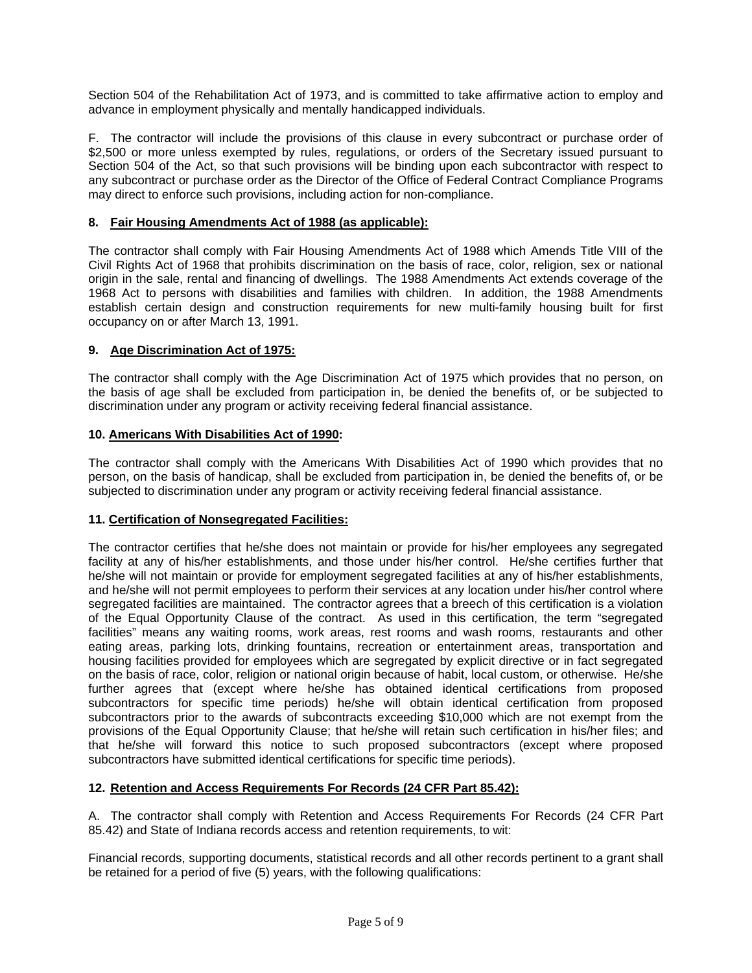Section 504 of the Rehabilitation Act of 1973, and is committed to take affirmative action to employ and advance in employment physically and mentally handicapped individuals.

F. The contractor will include the provisions of this clause in every subcontract or purchase order of \$2,500 or more unless exempted by rules, regulations, or orders of the Secretary issued pursuant to Section 504 of the Act, so that such provisions will be binding upon each subcontractor with respect to any subcontract or purchase order as the Director of the Office of Federal Contract Compliance Programs may direct to enforce such provisions, including action for non-compliance.

# **8. Fair Housing Amendments Act of 1988 (as applicable):**

The contractor shall comply with Fair Housing Amendments Act of 1988 which Amends Title VIII of the Civil Rights Act of 1968 that prohibits discrimination on the basis of race, color, religion, sex or national origin in the sale, rental and financing of dwellings. The 1988 Amendments Act extends coverage of the 1968 Act to persons with disabilities and families with children. In addition, the 1988 Amendments establish certain design and construction requirements for new multi-family housing built for first occupancy on or after March 13, 1991.

# **9. Age Discrimination Act of 1975:**

The contractor shall comply with the Age Discrimination Act of 1975 which provides that no person, on the basis of age shall be excluded from participation in, be denied the benefits of, or be subjected to discrimination under any program or activity receiving federal financial assistance.

## **10. Americans With Disabilities Act of 1990:**

The contractor shall comply with the Americans With Disabilities Act of 1990 which provides that no person, on the basis of handicap, shall be excluded from participation in, be denied the benefits of, or be subjected to discrimination under any program or activity receiving federal financial assistance.

# **11. Certification of Nonsegregated Facilities:**

The contractor certifies that he/she does not maintain or provide for his/her employees any segregated facility at any of his/her establishments, and those under his/her control. He/she certifies further that he/she will not maintain or provide for employment segregated facilities at any of his/her establishments, and he/she will not permit employees to perform their services at any location under his/her control where segregated facilities are maintained. The contractor agrees that a breech of this certification is a violation of the Equal Opportunity Clause of the contract. As used in this certification, the term "segregated facilities" means any waiting rooms, work areas, rest rooms and wash rooms, restaurants and other eating areas, parking lots, drinking fountains, recreation or entertainment areas, transportation and housing facilities provided for employees which are segregated by explicit directive or in fact segregated on the basis of race, color, religion or national origin because of habit, local custom, or otherwise. He/she further agrees that (except where he/she has obtained identical certifications from proposed subcontractors for specific time periods) he/she will obtain identical certification from proposed subcontractors prior to the awards of subcontracts exceeding \$10,000 which are not exempt from the provisions of the Equal Opportunity Clause; that he/she will retain such certification in his/her files; and that he/she will forward this notice to such proposed subcontractors (except where proposed subcontractors have submitted identical certifications for specific time periods).

# **12. Retention and Access Requirements For Records (24 CFR Part 85.42):**

A. The contractor shall comply with Retention and Access Requirements For Records (24 CFR Part 85.42) and State of Indiana records access and retention requirements, to wit:

Financial records, supporting documents, statistical records and all other records pertinent to a grant shall be retained for a period of five (5) years, with the following qualifications: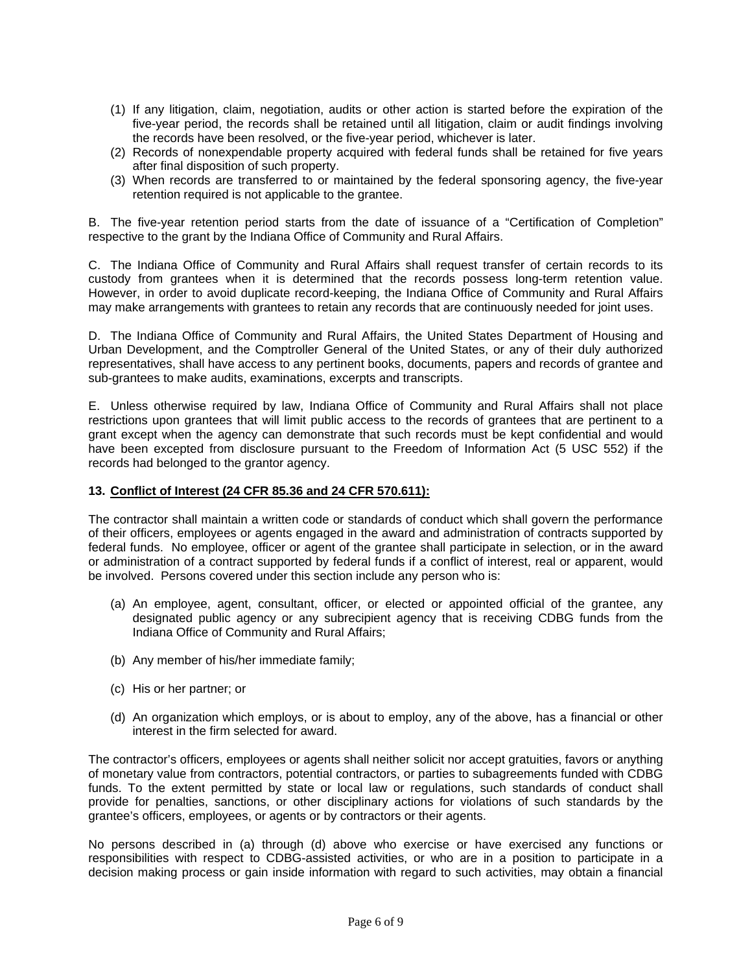- (1) If any litigation, claim, negotiation, audits or other action is started before the expiration of the five-year period, the records shall be retained until all litigation, claim or audit findings involving the records have been resolved, or the five-year period, whichever is later.
- (2) Records of nonexpendable property acquired with federal funds shall be retained for five years after final disposition of such property.
- (3) When records are transferred to or maintained by the federal sponsoring agency, the five-year retention required is not applicable to the grantee.

B. The five-year retention period starts from the date of issuance of a "Certification of Completion" respective to the grant by the Indiana Office of Community and Rural Affairs.

C. The Indiana Office of Community and Rural Affairs shall request transfer of certain records to its custody from grantees when it is determined that the records possess long-term retention value. However, in order to avoid duplicate record-keeping, the Indiana Office of Community and Rural Affairs may make arrangements with grantees to retain any records that are continuously needed for joint uses.

D. The Indiana Office of Community and Rural Affairs, the United States Department of Housing and Urban Development, and the Comptroller General of the United States, or any of their duly authorized representatives, shall have access to any pertinent books, documents, papers and records of grantee and sub-grantees to make audits, examinations, excerpts and transcripts.

E. Unless otherwise required by law, Indiana Office of Community and Rural Affairs shall not place restrictions upon grantees that will limit public access to the records of grantees that are pertinent to a grant except when the agency can demonstrate that such records must be kept confidential and would have been excepted from disclosure pursuant to the Freedom of Information Act (5 USC 552) if the records had belonged to the grantor agency.

## **13. Conflict of Interest (24 CFR 85.36 and 24 CFR 570.611):**

The contractor shall maintain a written code or standards of conduct which shall govern the performance of their officers, employees or agents engaged in the award and administration of contracts supported by federal funds. No employee, officer or agent of the grantee shall participate in selection, or in the award or administration of a contract supported by federal funds if a conflict of interest, real or apparent, would be involved. Persons covered under this section include any person who is:

- (a) An employee, agent, consultant, officer, or elected or appointed official of the grantee, any designated public agency or any subrecipient agency that is receiving CDBG funds from the Indiana Office of Community and Rural Affairs;
- (b) Any member of his/her immediate family;
- (c) His or her partner; or
- (d) An organization which employs, or is about to employ, any of the above, has a financial or other interest in the firm selected for award.

The contractor's officers, employees or agents shall neither solicit nor accept gratuities, favors or anything of monetary value from contractors, potential contractors, or parties to subagreements funded with CDBG funds. To the extent permitted by state or local law or regulations, such standards of conduct shall provide for penalties, sanctions, or other disciplinary actions for violations of such standards by the grantee's officers, employees, or agents or by contractors or their agents.

No persons described in (a) through (d) above who exercise or have exercised any functions or responsibilities with respect to CDBG-assisted activities, or who are in a position to participate in a decision making process or gain inside information with regard to such activities, may obtain a financial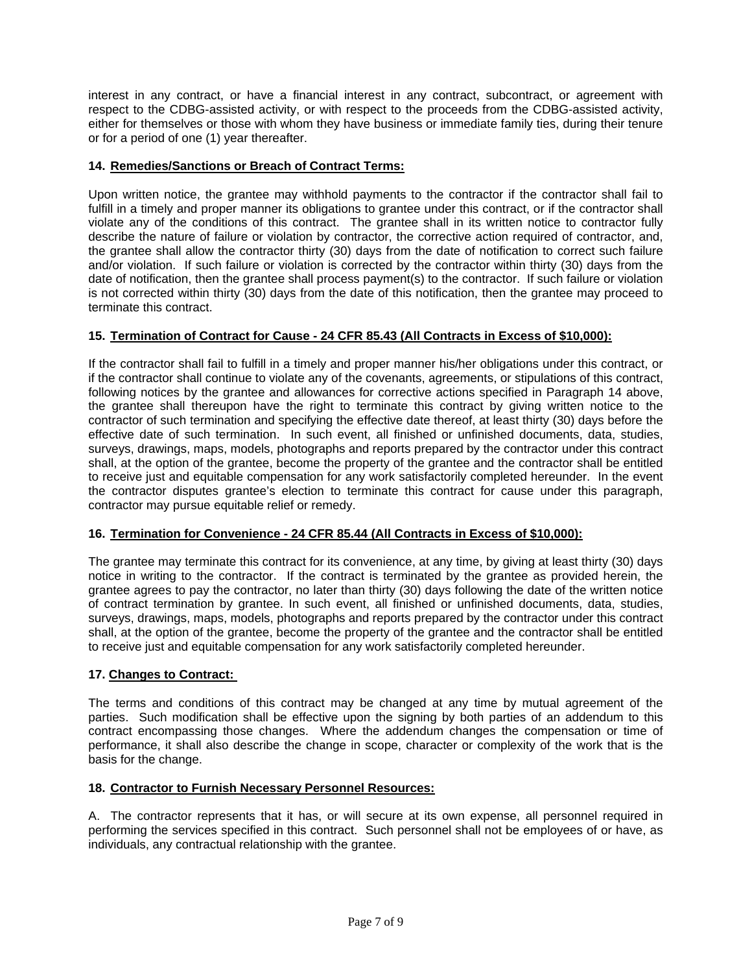interest in any contract, or have a financial interest in any contract, subcontract, or agreement with respect to the CDBG-assisted activity, or with respect to the proceeds from the CDBG-assisted activity, either for themselves or those with whom they have business or immediate family ties, during their tenure or for a period of one (1) year thereafter.

# **14. Remedies/Sanctions or Breach of Contract Terms:**

Upon written notice, the grantee may withhold payments to the contractor if the contractor shall fail to fulfill in a timely and proper manner its obligations to grantee under this contract, or if the contractor shall violate any of the conditions of this contract. The grantee shall in its written notice to contractor fully describe the nature of failure or violation by contractor, the corrective action required of contractor, and, the grantee shall allow the contractor thirty (30) days from the date of notification to correct such failure and/or violation. If such failure or violation is corrected by the contractor within thirty (30) days from the date of notification, then the grantee shall process payment(s) to the contractor. If such failure or violation is not corrected within thirty (30) days from the date of this notification, then the grantee may proceed to terminate this contract.

## **15. Termination of Contract for Cause - 24 CFR 85.43 (All Contracts in Excess of \$10,000):**

If the contractor shall fail to fulfill in a timely and proper manner his/her obligations under this contract, or if the contractor shall continue to violate any of the covenants, agreements, or stipulations of this contract, following notices by the grantee and allowances for corrective actions specified in Paragraph 14 above, the grantee shall thereupon have the right to terminate this contract by giving written notice to the contractor of such termination and specifying the effective date thereof, at least thirty (30) days before the effective date of such termination. In such event, all finished or unfinished documents, data, studies, surveys, drawings, maps, models, photographs and reports prepared by the contractor under this contract shall, at the option of the grantee, become the property of the grantee and the contractor shall be entitled to receive just and equitable compensation for any work satisfactorily completed hereunder. In the event the contractor disputes grantee's election to terminate this contract for cause under this paragraph, contractor may pursue equitable relief or remedy.

## **16. Termination for Convenience - 24 CFR 85.44 (All Contracts in Excess of \$10,000):**

The grantee may terminate this contract for its convenience, at any time, by giving at least thirty (30) days notice in writing to the contractor. If the contract is terminated by the grantee as provided herein, the grantee agrees to pay the contractor, no later than thirty (30) days following the date of the written notice of contract termination by grantee. In such event, all finished or unfinished documents, data, studies, surveys, drawings, maps, models, photographs and reports prepared by the contractor under this contract shall, at the option of the grantee, become the property of the grantee and the contractor shall be entitled to receive just and equitable compensation for any work satisfactorily completed hereunder.

### **17. Changes to Contract:**

The terms and conditions of this contract may be changed at any time by mutual agreement of the parties. Such modification shall be effective upon the signing by both parties of an addendum to this contract encompassing those changes. Where the addendum changes the compensation or time of performance, it shall also describe the change in scope, character or complexity of the work that is the basis for the change.

### **18. Contractor to Furnish Necessary Personnel Resources:**

A. The contractor represents that it has, or will secure at its own expense, all personnel required in performing the services specified in this contract. Such personnel shall not be employees of or have, as individuals, any contractual relationship with the grantee.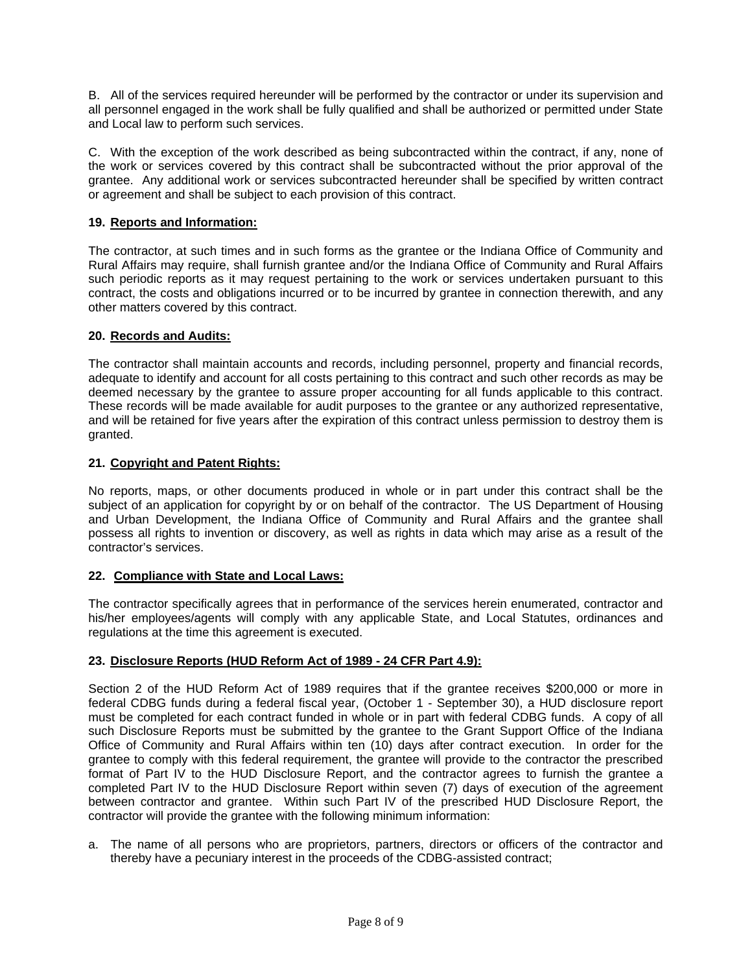B. All of the services required hereunder will be performed by the contractor or under its supervision and all personnel engaged in the work shall be fully qualified and shall be authorized or permitted under State and Local law to perform such services.

C. With the exception of the work described as being subcontracted within the contract, if any, none of the work or services covered by this contract shall be subcontracted without the prior approval of the grantee. Any additional work or services subcontracted hereunder shall be specified by written contract or agreement and shall be subject to each provision of this contract.

# **19. Reports and Information:**

The contractor, at such times and in such forms as the grantee or the Indiana Office of Community and Rural Affairs may require, shall furnish grantee and/or the Indiana Office of Community and Rural Affairs such periodic reports as it may request pertaining to the work or services undertaken pursuant to this contract, the costs and obligations incurred or to be incurred by grantee in connection therewith, and any other matters covered by this contract.

# **20. Records and Audits:**

The contractor shall maintain accounts and records, including personnel, property and financial records, adequate to identify and account for all costs pertaining to this contract and such other records as may be deemed necessary by the grantee to assure proper accounting for all funds applicable to this contract. These records will be made available for audit purposes to the grantee or any authorized representative, and will be retained for five years after the expiration of this contract unless permission to destroy them is granted.

## **21. Copyright and Patent Rights:**

No reports, maps, or other documents produced in whole or in part under this contract shall be the subject of an application for copyright by or on behalf of the contractor. The US Department of Housing and Urban Development, the Indiana Office of Community and Rural Affairs and the grantee shall possess all rights to invention or discovery, as well as rights in data which may arise as a result of the contractor's services.

### **22. Compliance with State and Local Laws:**

The contractor specifically agrees that in performance of the services herein enumerated, contractor and his/her employees/agents will comply with any applicable State, and Local Statutes, ordinances and regulations at the time this agreement is executed.

# **23. Disclosure Reports (HUD Reform Act of 1989 - 24 CFR Part 4.9):**

Section 2 of the HUD Reform Act of 1989 requires that if the grantee receives \$200,000 or more in federal CDBG funds during a federal fiscal year, (October 1 - September 30), a HUD disclosure report must be completed for each contract funded in whole or in part with federal CDBG funds. A copy of all such Disclosure Reports must be submitted by the grantee to the Grant Support Office of the Indiana Office of Community and Rural Affairs within ten (10) days after contract execution. In order for the grantee to comply with this federal requirement, the grantee will provide to the contractor the prescribed format of Part IV to the HUD Disclosure Report, and the contractor agrees to furnish the grantee a completed Part IV to the HUD Disclosure Report within seven (7) days of execution of the agreement between contractor and grantee. Within such Part IV of the prescribed HUD Disclosure Report, the contractor will provide the grantee with the following minimum information:

a. The name of all persons who are proprietors, partners, directors or officers of the contractor and thereby have a pecuniary interest in the proceeds of the CDBG-assisted contract;